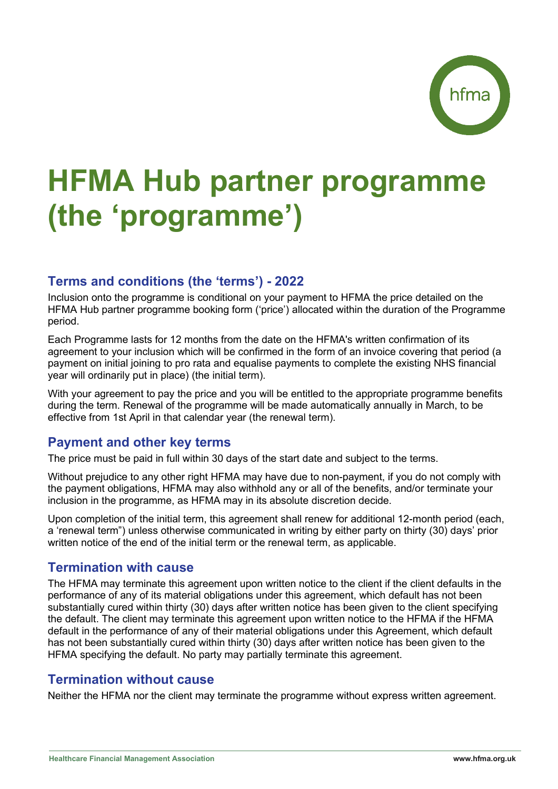# **HFMA Hub partner programme (the 'programme')**

# **Terms and conditions (the 'terms') - 2022**

Inclusion onto the programme is conditional on your payment to HFMA the price detailed on the HFMA Hub partner programme booking form ('price') allocated within the duration of the Programme period.

Each Programme lasts for 12 months from the date on the HFMA's written confirmation of its agreement to your inclusion which will be confirmed in the form of an invoice covering that period (a payment on initial joining to pro rata and equalise payments to complete the existing NHS financial year will ordinarily put in place) (the initial term).

With your agreement to pay the price and you will be entitled to the appropriate programme benefits during the term. Renewal of the programme will be made automatically annually in March, to be effective from 1st April in that calendar year (the renewal term).

## **Payment and other key terms**

The price must be paid in full within 30 days of the start date and subject to the terms.

Without prejudice to any other right HFMA may have due to non-payment, if you do not comply with the payment obligations, HFMA may also withhold any or all of the benefits, and/or terminate your inclusion in the programme, as HFMA may in its absolute discretion decide.

Upon completion of the initial term, this agreement shall renew for additional 12-month period (each, a 'renewal term") unless otherwise communicated in writing by either party on thirty (30) days' prior written notice of the end of the initial term or the renewal term, as applicable.

## **Termination with cause**

The HFMA may terminate this agreement upon written notice to the client if the client defaults in the performance of any of its material obligations under this agreement, which default has not been substantially cured within thirty (30) days after written notice has been given to the client specifying the default. The client may terminate this agreement upon written notice to the HFMA if the HFMA default in the performance of any of their material obligations under this Agreement, which default has not been substantially cured within thirty (30) days after written notice has been given to the HFMA specifying the default. No party may partially terminate this agreement.

## **Termination without cause**

Neither the HFMA nor the client may terminate the programme without express written agreement.